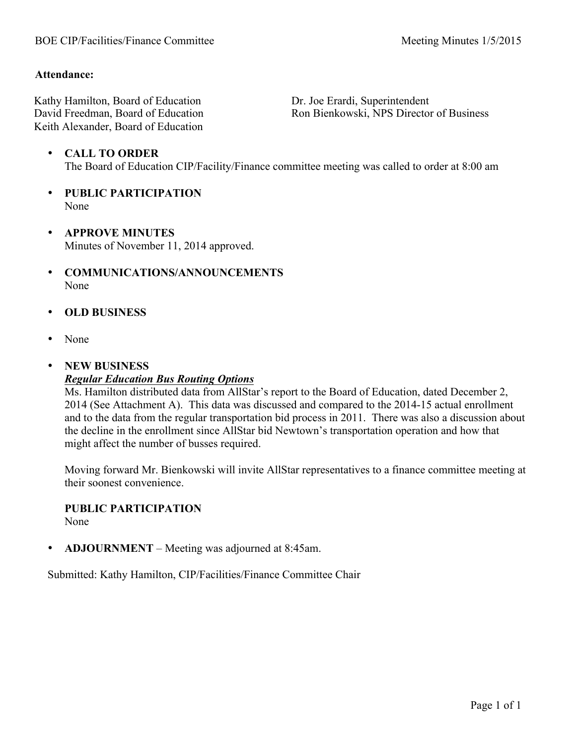#### **Attendance:**

Kathy Hamilton, Board of Education David Freedman, Board of Education Keith Alexander, Board of Education

Dr. Joe Erardi, Superintendent Ron Bienkowski, NPS Director of Business

- **CALL TO ORDER** The Board of Education CIP/Facility/Finance committee meeting was called to order at 8:00 am
- **PUBLIC PARTICIPATION** None
- **APPROVE MINUTES** Minutes of November 11, 2014 approved.
- **COMMUNICATIONS/ANNOUNCEMENTS** None
- **OLD BUSINESS**
- None
- **NEW BUSINESS** *Regular Education Bus Routing Options*

Ms. Hamilton distributed data from AllStar's report to the Board of Education, dated December 2, 2014 (See Attachment A). This data was discussed and compared to the 2014-15 actual enrollment and to the data from the regular transportation bid process in 2011. There was also a discussion about the decline in the enrollment since AllStar bid Newtown's transportation operation and how that might affect the number of busses required.

Moving forward Mr. Bienkowski will invite AllStar representatives to a finance committee meeting at their soonest convenience.

#### **PUBLIC PARTICIPATION**

None

• **ADJOURNMENT** – Meeting was adjourned at 8:45am.

Submitted: Kathy Hamilton, CIP/Facilities/Finance Committee Chair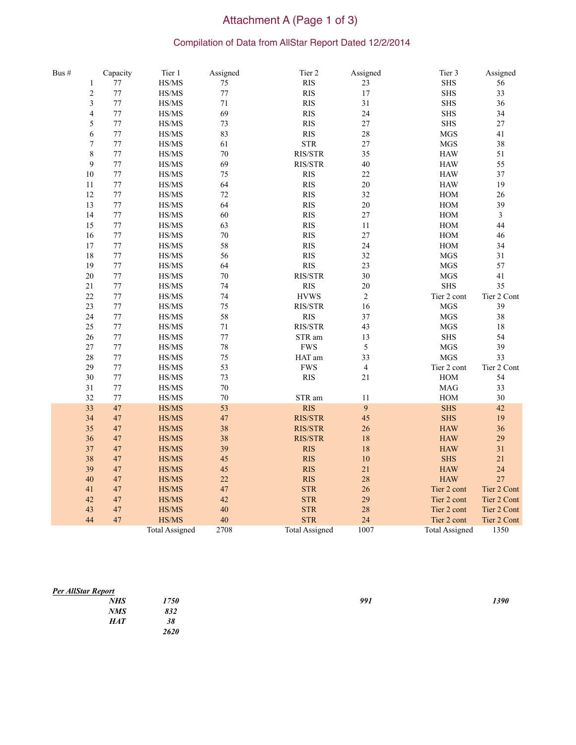# Attachment A (Page 1 of 3)<br>Compilation of Data from AllStar Report Dated 12/2/2014

| Bus # |                         | Capacity | Tier 1                                                            | Assigned | Tier 2                           | Assigned       | Tier 3                      | Assigned       |
|-------|-------------------------|----------|-------------------------------------------------------------------|----------|----------------------------------|----------------|-----------------------------|----------------|
|       | $\mathbf{1}$            | $77 \,$  | $\ensuremath{\mathit{HS}}\xspace/\ensuremath{\mathit{MS}}\xspace$ | $75\,$   | RIS                              | $23\,$         | ${\rm SHS}$                 | 56             |
|       | $\sqrt{2}$              | 77       | $\ensuremath{\mathit{HS}}\xspace/\ensuremath{\mathit{MS}}\xspace$ | $77\,$   | RIS                              | 17             | ${\rm SHS}$                 | 33             |
|       | $\overline{\mathbf{3}}$ | 77       | HS/MS                                                             | 71       | RIS                              | 31             | ${\rm SHS}$                 | 36             |
|       | 4                       | 77       | HS/MS                                                             | 69       | <b>RIS</b>                       | 24             | <b>SHS</b>                  | 34             |
|       | 5                       | 77       | $\ensuremath{\mathit{HS}}\xspace/\ensuremath{\mathit{MS}}\xspace$ | 73       | <b>RIS</b>                       | 27             | <b>SHS</b>                  | $27\,$         |
|       | 6                       | 77       | HS/MS                                                             | 83       | <b>RIS</b>                       | 28             | <b>MGS</b>                  | 41             |
|       | $\overline{7}$          | 77       | HS/MS                                                             | 61       | $\operatorname{STR}$             | 27             | <b>MGS</b>                  | 38             |
|       | 8                       | 77       | $\ensuremath{\mathit{HS}}\xspace/\ensuremath{\mathit{MS}}\xspace$ | $70\,$   | $\rm RIS/STR$                    | 35             | $\ensuremath{\mathsf{HAW}}$ | 51             |
|       | 9                       | 77       | HS/MS                                                             | 69       | RIS/STR                          | 40             | <b>HAW</b>                  | 55             |
|       | $10\,$                  | 77       | HS/MS                                                             | 75       | <b>RIS</b>                       | $22\,$         | $\rm HAW$                   | 37             |
|       | 11                      | $77\,$   | HS/MS                                                             | 64       | RIS                              | $20\,$         | $\rm HAW$                   | 19             |
|       | 12                      | 77       | $\ensuremath{\mathit{HS}}\xspace/\ensuremath{\mathit{MS}}\xspace$ | $72\,$   | $\mathbf{R}\mathbf{I}\mathbf{S}$ | $32\,$         | $HOM$                       | $26\,$         |
|       | 13                      | $77\,$   | $\ensuremath{\mathit{HS}}\xspace/\ensuremath{\mathit{MS}}\xspace$ | 64       | <b>RIS</b>                       | $20\,$         | $\rm HOM$                   | 39             |
|       | 14                      | 77       | HS/MS                                                             | 60       | <b>RIS</b>                       | 27             | $HOM$                       | $\overline{3}$ |
|       | 15                      | $77\,$   | $\ensuremath{\mathit{HS}}\xspace/\ensuremath{\mathit{MS}}\xspace$ | 63       | RIS                              | 11             | $HOM$                       | 44             |
|       | 16                      | $77\,$   | HS/MS                                                             | $70\,$   | <b>RIS</b>                       | 27             | $HOM$                       | 46             |
|       | 17                      | 77       | $\ensuremath{\mathit{HS}}\xspace/\ensuremath{\mathit{MS}}\xspace$ | 58       | <b>RIS</b>                       | 24             | $HOM$                       | 34             |
|       | 18                      | 77       | HS/MS                                                             | 56       | <b>RIS</b>                       | 32             | <b>MGS</b>                  | 31             |
|       | 19                      | 77       | HS/MS                                                             | 64       | <b>RIS</b>                       | 23             | <b>MGS</b>                  | 57             |
|       | $20\,$                  | 77       | $\ensuremath{\mathit{HS}}\xspace/\ensuremath{\mathit{MS}}\xspace$ | $70\,$   | RIS/STR                          | 30             | <b>MGS</b>                  | 41             |
|       | $21\,$                  | 77       | $\ensuremath{\mathit{HS}}\xspace/\ensuremath{\mathit{MS}}\xspace$ | 74       | <b>RIS</b>                       | 20             | ${\rm SHS}$                 | 35             |
|       | $22\,$                  | 77       | HS/MS                                                             | $74\,$   | <b>HVWS</b>                      | $\sqrt{2}$     | Tier 2 cont                 | Tier 2 Cont    |
|       | 23                      | 77       | HS/MS                                                             | 75       | RIS/STR                          | 16             | <b>MGS</b>                  | 39             |
|       | 24                      | $77\,$   | HS/MS                                                             | 58       | <b>RIS</b>                       | 37             | <b>MGS</b>                  | 38             |
|       | 25                      | $77\,$   | HS/MS                                                             | $71\,$   | RIS/STR                          | 43             | <b>MGS</b>                  | 18             |
|       | 26                      | 77       | HS/MS                                                             | $77\,$   | STR am                           | 13             | ${\rm SHS}$                 | 54             |
|       | $27\,$                  | 77       | $\ensuremath{\mathit{HS}}\xspace/\ensuremath{\mathit{MS}}\xspace$ | 78       | <b>FWS</b>                       | 5              | <b>MGS</b>                  | 39             |
|       | 28                      | 77       | HS/MS                                                             | 75       | HAT am                           | 33             | <b>MGS</b>                  | 33             |
|       | 29                      | 77       | $\ensuremath{\mathit{HS}}\xspace/\ensuremath{\mathit{MS}}\xspace$ | 53       | <b>FWS</b>                       | $\overline{4}$ | Tier 2 cont                 | Tier 2 Cont    |
|       | 30                      | $77\,$   | HS/MS                                                             | 73       | <b>RIS</b>                       | $21\,$         | $HOM$                       | 54             |
|       | 31                      | $77\,$   | $\ensuremath{\mathit{HS}}\xspace/\ensuremath{\mathit{MS}}\xspace$ | $70\,$   |                                  |                | $\rm MAG$                   | 33             |
|       | 32                      | 77       | $\ensuremath{\mathit{HS}}\xspace/\ensuremath{\mathit{MS}}\xspace$ | 70       | STR am                           | 11             | $\rm HOM$                   | 30             |
|       | 33                      | 47       | HS/MS                                                             | 53       | <b>RIS</b>                       | 9              | <b>SHS</b>                  | 42             |
|       | 34                      | 47       | HS/MS                                                             | 47       | <b>RIS/STR</b>                   | 45             | <b>SHS</b>                  | 19             |
|       | 35                      | 47       | HS/MS                                                             | 38       | <b>RIS/STR</b>                   | 26             | <b>HAW</b>                  | 36             |
|       | 36                      | $47\,$   | HS/MS                                                             | 38       | <b>RIS/STR</b>                   | 18             | $\rm HAW$                   | 29             |
|       | 37                      | 47       | HS/MS                                                             | 39       | <b>RIS</b>                       | 18             | $\rm HAW$                   | 31             |
|       | 38                      | 47       | HS/MS                                                             | 45       | <b>RIS</b>                       | 10             | <b>SHS</b>                  | 21             |
|       | 39                      | 47       | HS/MS                                                             | 45       | <b>RIS</b>                       | 21             | <b>HAW</b>                  | 24             |
|       | 40                      | $47\,$   | HS/MS                                                             | 22       | <b>RIS</b>                       | 28             | $\rm HAW$                   | 27             |
|       | 41                      | $47\,$   | HS/MS                                                             | $47\,$   | <b>STR</b>                       | 26             | Tier 2 cont                 | Tier 2 Cont    |
|       | 42                      | 47       | HS/MS                                                             | 42       | <b>STR</b>                       | 29             | Tier 2 cont                 | Tier 2 Cont    |
|       | 43                      | 47       | HS/MS                                                             | 40       | <b>STR</b>                       | 28             | Tier 2 cont                 | Tier 2 Cont    |
|       | 44                      | 47       | HS/MS                                                             | 40       | <b>STR</b>                       | 24             | Tier 2 cont                 | Tier 2 Cont    |
|       |                         |          | <b>Total Assigned</b>                                             | 2708     | <b>Total Assigned</b>            | 1007           | <b>Total Assigned</b>       | 1350           |

#### *Per AllStar Report*

| the control of the<br><b>NHS</b> | 1750        | 991 | 1390 |
|----------------------------------|-------------|-----|------|
| <b>NMS</b>                       | 832         |     |      |
| <b>HAT</b>                       | 38          |     |      |
|                                  | <b>2620</b> |     |      |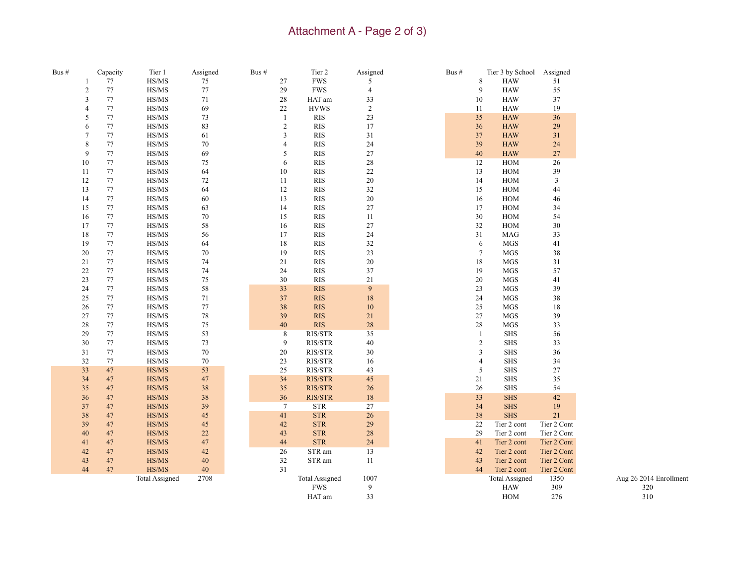### Attachment A - Page 2 of 3)

| Bus # |                | Capacity | Tier 1                                              | Assigned | Bus $#$ |                 | Tier 2                      | Assigned         | Bus # |                | Tier 3 by School Assigned |             |                        |
|-------|----------------|----------|-----------------------------------------------------|----------|---------|-----------------|-----------------------------|------------------|-------|----------------|---------------------------|-------------|------------------------|
|       | $\mathbf{1}$   | $77\,$   | $\ensuremath{\mathit{HS}}/\ensuremath{\mathit{MS}}$ | 75       |         | 27              | ${\rm FWS}$                 | 5                |       | 8              | <b>HAW</b>                | 51          |                        |
|       | $\overline{c}$ | 77       | HS/MS                                               | 77       |         | 29              | <b>FWS</b>                  | $\overline{4}$   |       | 9              | <b>HAW</b>                | 55          |                        |
|       | 3              | $77\,$   | HS/MS                                               | 71       |         | $28\,$          | HAT am                      | 33               |       | 10             | <b>HAW</b>                | 37          |                        |
|       | $\overline{4}$ | $77\,$   | HS/MS                                               | 69       |         | 22              | <b>HVWS</b>                 | $\overline{2}$   |       | 11             | <b>HAW</b>                | 19          |                        |
|       | 5              | $77\,$   | HS/MS                                               | 73       |         | $\mathbf{1}$    | <b>RIS</b>                  | 23               |       | 35             | <b>HAW</b>                | 36          |                        |
|       | 6              | 77       | HS/MS                                               | 83       |         | $\overline{c}$  | <b>RIS</b>                  | 17               |       | 36             | <b>HAW</b>                | 29          |                        |
|       | $\overline{7}$ | 77       | HS/MS                                               | 61       |         | 3               | <b>RIS</b>                  | 31               |       | 37             | <b>HAW</b>                | 31          |                        |
|       | 8              | $77\,$   | HS/MS                                               | $70\,$   |         | $\overline{4}$  | <b>RIS</b>                  | 24               |       | 39             | <b>HAW</b>                | 24          |                        |
|       | 9              | 77       | HS/MS                                               | 69       |         | 5               | <b>RIS</b>                  | 27               |       | $40\,$         | <b>HAW</b>                | 27          |                        |
|       | 10             | $77\,$   | HS/MS                                               | 75       |         | 6               | $\ensuremath{\mathrm{RIS}}$ | $28\,$           |       | 12             | HOM                       | 26          |                        |
|       | 11             | 77       | HS/MS                                               | 64       |         | 10              | <b>RIS</b>                  | 22               |       | 13             | <b>HOM</b>                | 39          |                        |
|       | 12             | 77       | HS/MS                                               | 72       |         | 11              | $\ensuremath{\mathrm{RIS}}$ | $20\,$           |       | 14             | $HOM$                     | 3           |                        |
|       | 13             | 77       | HS/MS                                               | 64       |         | 12              | <b>RIS</b>                  | $32\,$           |       | 15             | $HOM$                     | 44          |                        |
|       | 14             | $77\,$   | HS/MS                                               | 60       |         | 13              | $\ensuremath{\mathrm{RIS}}$ | $20\,$           |       | $16\,$         | $HOM$                     | 46          |                        |
|       | 15             | 77       | HS/MS                                               | 63       |         | 14              | <b>RIS</b>                  | $27\,$           |       | 17             | $HOM$                     | 34          |                        |
|       | 16             | 77       | HS/MS                                               | 70       |         | 15              | <b>RIS</b>                  | 11               |       | 30             | <b>HOM</b>                | 54          |                        |
|       | 17             | 77       | HS/MS                                               | 58       |         | 16              | <b>RIS</b>                  | $27\,$           |       | $32\,$         | $HOM$                     | 30          |                        |
|       | 18             | 77       | HS/MS                                               | 56       |         | 17              | <b>RIS</b>                  | 24               |       | 31             | <b>MAG</b>                | 33          |                        |
|       | 19             | 77       | $\ensuremath{\mathit{HS}}/\ensuremath{\mathit{MS}}$ | 64       |         | $18\,$          | $\ensuremath{\mathrm{RIS}}$ | $32\,$           |       | 6              | $\rm{MGS}$                | 41          |                        |
|       | 20             | 77       | HS/MS                                               | 70       |         | 19              | <b>RIS</b>                  | 23               |       | $\tau$         | <b>MGS</b>                | 38          |                        |
|       | $21\,$         | 77       | HS/MS                                               | 74       |         | 21              | $\ensuremath{\mathrm{RIS}}$ | $20\,$           |       | 18             | <b>MGS</b>                | $31\,$      |                        |
|       | 22             | 77       | HS/MS                                               | 74       |         | 24              | <b>RIS</b>                  | 37               |       | 19             | <b>MGS</b>                | 57          |                        |
|       | 23             | 77       | HS/MS                                               | 75       |         | 30              | <b>RIS</b>                  | 21               |       | 20             | <b>MGS</b>                | 41          |                        |
|       | 24             | 77       | HS/MS                                               | 58       |         | 33              | <b>RIS</b>                  | $\boldsymbol{9}$ |       | 23             | $\rm{MGS}$                | 39          |                        |
|       | 25             | 77       | HS/MS                                               | 71       |         | 37              | <b>RIS</b>                  | 18               |       | 24             | <b>MGS</b>                | 38          |                        |
|       | 26             | 77       | HS/MS                                               | $77 \,$  |         | 38              | <b>RIS</b>                  | 10               |       | $25\,$         | $\rm{MGS}$                | $18\,$      |                        |
|       | 27             | 77       | HS/MS                                               | 78       |         | 39              | <b>RIS</b>                  | 21               |       | $27\,$         | $_{\rm MGS}$              | 39          |                        |
|       | 28             | 77       | HS/MS                                               | 75       |         | 40              | RIS                         | $28\,$           |       | $28\,$         | <b>MGS</b>                | 33          |                        |
|       | 29             | 77       | HS/MS                                               | 53       |         | 8               | <b>RIS/STR</b>              | 35               |       | -1             | <b>SHS</b>                | 56          |                        |
|       | 30             | $77\,$   | HS/MS                                               | 73       |         | 9               | RIS/STR                     | $40\,$           |       | $\overline{c}$ | <b>SHS</b>                | 33          |                        |
|       | 31             | 77       | HS/MS                                               | 70       |         | 20              | RIS/STR                     | 30               |       | 3              | <b>SHS</b>                | 36          |                        |
|       | 32             | 77       | HS/MS                                               | 70       |         | 23              | <b>RIS/STR</b>              | 16               |       | $\overline{4}$ | <b>SHS</b>                | 34          |                        |
|       | 33             | 47       | HS/MS                                               | 53       |         | 25              | RIS/STR                     | 43               |       | 5              | <b>SHS</b>                | 27          |                        |
|       | 34             | 47       | HS/MS                                               | 47       |         | 34              | <b>RIS/STR</b>              | $45\,$           |       | 21             | <b>SHS</b>                | 35          |                        |
|       | 35             | 47       | HS/MS                                               | 38       |         | 35              | RIS/STR                     | 26               |       | $26\,$         | <b>SHS</b>                | 54          |                        |
|       | 36             | 47       | HS/MS                                               | 38       |         | 36              | RIS/STR                     | $18\,$           |       | 33             | <b>SHS</b>                | 42          |                        |
|       | 37             | 47       | HS/MS                                               | 39       |         | $7\phantom{.0}$ | $\ensuremath{\mathrm{STR}}$ | $27\,$           |       | 34             | <b>SHS</b>                | 19          |                        |
|       | 38             | 47       | HS/MS                                               | 45       |         | 41              | <b>STR</b>                  | 26               |       | 38             | <b>SHS</b>                | 21          |                        |
|       | 39             | 47       | HS/MS                                               | 45       |         | 42              | <b>STR</b>                  | $29\,$           |       | 22             | Tier 2 cont               | Tier 2 Cont |                        |
|       | 40             | 47       | HS/MS                                               | 22       |         | 43              | <b>STR</b>                  | $28\,$           |       | 29             | Tier 2 cont               | Tier 2 Cont |                        |
|       | 41             | 47       | HS/MS                                               | 47       |         | 44              | <b>STR</b>                  | 24               |       | 41             | Tier 2 cont               | Tier 2 Cont |                        |
|       | 42             | 47       | HS/MS                                               | 42       |         | 26              | STR am                      | 13               |       | $42\,$         | Tier 2 cont               | Tier 2 Cont |                        |
|       | 43             | 47       | HS/MS                                               | $40\,$   |         | 32              | STR am                      | 11               |       | 43             | Tier 2 cont               | Tier 2 Cont |                        |
|       | 44             | 47       | HS/MS                                               | $40\,$   |         | 31              |                             |                  |       | 44             | Tier 2 cont               | Tier 2 Cont |                        |
|       |                |          | <b>Total Assigned</b>                               | 2708     |         |                 | <b>Total Assigned</b>       | 1007             |       |                | <b>Total Assigned</b>     | 1350        | Aug 26 2014 Enrollment |
|       |                |          |                                                     |          |         |                 | <b>FWS</b>                  | 9                |       |                | <b>HAW</b>                | 309         | 320                    |
|       |                |          |                                                     |          |         |                 | HAT am                      | 33               |       |                | <b>HOM</b>                | 276         | 310                    |